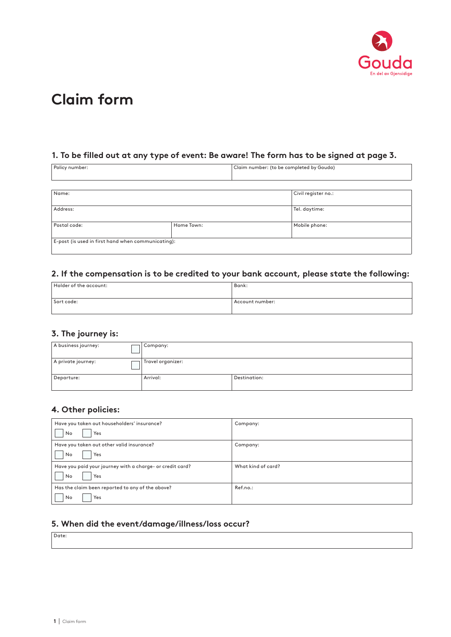

# **Claim form**

### **1. To be filled out at any type of event: Be aware! The form has to be signed at page 3.**

| Policy number:                                     |            | Claim number: (to be completed by Gouda) |  |
|----------------------------------------------------|------------|------------------------------------------|--|
|                                                    |            |                                          |  |
| Name:                                              |            | Civil register no.:                      |  |
| Address:                                           |            | Tel. daytime:                            |  |
| Postal code:                                       | Home Town: | Mobile phone:                            |  |
| E-post (is used in first hand when communicating): |            |                                          |  |

## **2. If the compensation is to be credited to your bank account, please state the following:**

| Holder of the account: | Bank:           |
|------------------------|-----------------|
|                        |                 |
| Sort code:             | Account number: |
|                        |                 |

### **3. The journey is:**

| A business journey: | Company:          |              |
|---------------------|-------------------|--------------|
| A private journey:  | Travel organizer: |              |
| Departure:          | Arrival:          | Destination: |

#### **4. Other policies:**

| Have you taken out householders' insurance?               | Company:           |
|-----------------------------------------------------------|--------------------|
| Yes<br>No                                                 |                    |
| Have you taken out other valid insurance?                 | Company:           |
| No<br>Yes                                                 |                    |
| Have you paid your journey with a charge- or credit card? | What kind of card? |
| Yes<br>No                                                 |                    |
| Has the claim been reported to any of the above?          | Ref.no.:           |
| Yes<br>No                                                 |                    |

### **5. When did the event/damage/illness/loss occur?**

Date: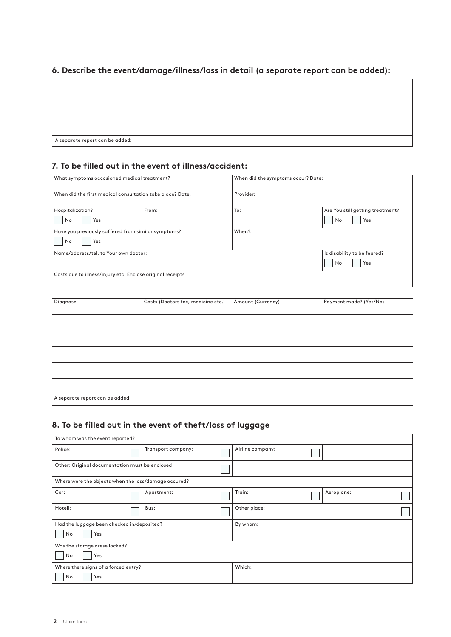### **6. Describe the event/damage/illness/loss in detail (a separate report can be added):**

A separate report can be added:

#### **7. To be filled out in the event of illness/accident:**

| What symptoms occasioned medical treatment?                |       |           | When did the symptoms occur? Date: |  |
|------------------------------------------------------------|-------|-----------|------------------------------------|--|
| When did the first medical consultation take place? Date:  |       | Provider: |                                    |  |
| Hospitalization?                                           | From: | To:       | Are You still getting treatment?   |  |
| Yes<br>No                                                  |       |           | No<br>Yes                          |  |
| Have you previously suffered from similar symptoms?        |       | When?:    |                                    |  |
| No<br>Yes                                                  |       |           |                                    |  |
| Name/address/tel. to Your own doctor:                      |       |           | Is disability to be feared?        |  |
|                                                            |       |           | No<br>Yes                          |  |
| Costs due to illness/injury etc. Enclose original receipts |       |           |                                    |  |

| Diagnose                        | Costs (Doctors fee, medicine etc.) | Amount (Currency) | Payment made? (Yes/No) |
|---------------------------------|------------------------------------|-------------------|------------------------|
|                                 |                                    |                   |                        |
|                                 |                                    |                   |                        |
|                                 |                                    |                   |                        |
|                                 |                                    |                   |                        |
|                                 |                                    |                   |                        |
|                                 |                                    |                   |                        |
|                                 |                                    |                   |                        |
|                                 |                                    |                   |                        |
|                                 |                                    |                   |                        |
|                                 |                                    |                   |                        |
|                                 |                                    |                   |                        |
| A separate report can be added: |                                    |                   |                        |

### **8. To be filled out in the event of theft/loss of luggage**

| To whom was the event reported?                      |  |                    |  |                  |            |  |
|------------------------------------------------------|--|--------------------|--|------------------|------------|--|
| Police:                                              |  | Transport company: |  | Airline company: |            |  |
| Other: Original documentation must be enclosed       |  |                    |  |                  |            |  |
| Where were the objects when the loss/damage occured? |  |                    |  |                  |            |  |
| Car:                                                 |  | Apartment:         |  | Train:           | Aeroplane: |  |
| Hotell:                                              |  | Bus:               |  | Other place:     |            |  |
| Had the luggage been checked in/deposited?           |  | By whom:           |  |                  |            |  |
| Yes<br>No                                            |  |                    |  |                  |            |  |
| Was the storage arese locked?                        |  |                    |  |                  |            |  |
| No<br>Yes                                            |  |                    |  |                  |            |  |
| Where there signs of a forced entry?                 |  | Which:             |  |                  |            |  |
| No<br>Yes                                            |  |                    |  |                  |            |  |